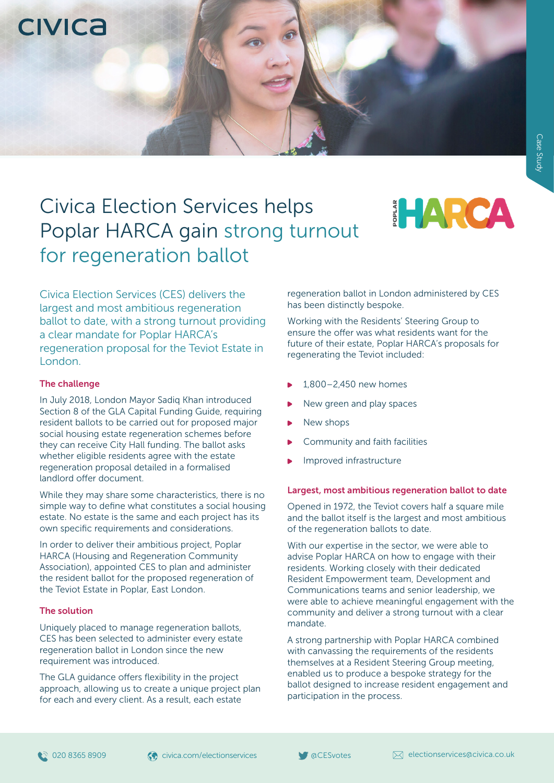**CIVICA** 

# Civica Election Services helps Poplar HARCA gain strong turnout for regeneration ballot



Civica Election Services (CES) delivers the largest and most ambitious regeneration ballot to date, with a strong turnout providing a clear mandate for Poplar HARCA's regeneration proposal for the Teviot Estate in London.

# The challenge

In July 2018, London Mayor Sadiq Khan introduced Section 8 of the GLA Capital Funding Guide, requiring resident ballots to be carried out for proposed major social housing estate regeneration schemes before they can receive City Hall funding. The ballot asks whether eligible residents agree with the estate regeneration proposal detailed in a formalised landlord offer document.

While they may share some characteristics, there is no simple way to define what constitutes a social housing estate. No estate is the same and each project has its own specific requirements and considerations.

In order to deliver their ambitious project, Poplar HARCA (Housing and Regeneration Community Association), appointed CES to plan and administer the resident ballot for the proposed regeneration of the Teviot Estate in Poplar, East London.

# The solution

Uniquely placed to manage regeneration ballots, CES has been selected to administer every estate regeneration ballot in London since the new requirement was introduced.

The GLA guidance offers flexibility in the project approach, allowing us to create a unique project plan for each and every client. As a result, each estate

regeneration ballot in London administered by CES has been distinctly bespoke.

Working with the Residents' Steering Group to ensure the offer was what residents want for the future of their estate, Poplar HARCA's proposals for regenerating the Teviot included:

- 1,800–2,450 new homes
- New green and play spaces
- New shops
- Community and faith facilities
- Improved infrastructure

# Largest, most ambitious regeneration ballot to date

Opened in 1972, the Teviot covers half a square mile and the ballot itself is the largest and most ambitious of the regeneration ballots to date.

With our expertise in the sector, we were able to advise Poplar HARCA on how to engage with their residents. Working closely with their dedicated Resident Empowerment team, Development and Communications teams and senior leadership, we were able to achieve meaningful engagement with the community and deliver a strong turnout with a clear mandate.

A strong partnership with Poplar HARCA combined with canvassing the requirements of the residents themselves at a Resident Steering Group meeting, enabled us to produce a bespoke strategy for the ballot designed to increase resident engagement and participation in the process.